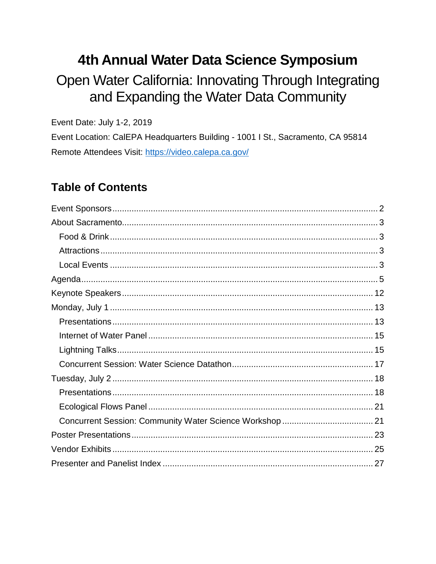# 4th Annual Water Data Science Symposium

Open Water California: Innovating Through Integrating and Expanding the Water Data Community

Event Date: July 1-2, 2019

Event Location: CalEPA Headquarters Building - 1001 I St., Sacramento, CA 95814 Remote Attendees Visit: https://video.calepa.ca.gov/

## **Table of Contents**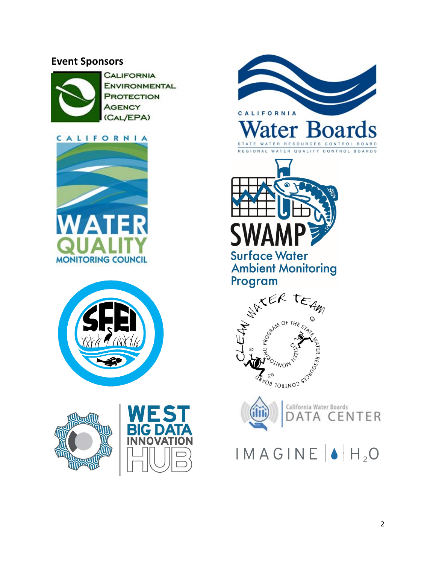## <span id="page-1-0"></span>**Event Sponsors**



**CALIFORNIA ENVIRONMENTAL PROTECTION AGENCY** (CAL/EPA)









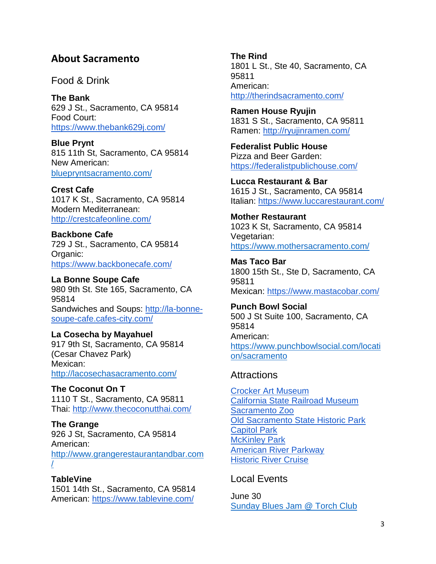## <span id="page-2-0"></span>**About Sacramento**

<span id="page-2-1"></span>Food & Drink

**The Bank**  629 J St., Sacramento, CA 95814 Food Court: <https://www.thebank629j.com/>

**Blue Prynt** 815 11th St, Sacramento, CA 95814 New American: [bluepryntsacramento.com/](http://bluepryntsacramento.com/#/id/i10791971)

**Crest Cafe** 1017 K St., Sacramento, CA 95814 Modern Mediterranean: <http://crestcafeonline.com/>

**Backbone Cafe** 729 J St., Sacramento, CA 95814 Organic: <https://www.backbonecafe.com/>

**La Bonne Soupe Cafe** 980 9th St. Ste 165, Sacramento, CA 95814 Sandwiches and Soups: [http://la-bonne](http://la-bonne-soupe-cafe.cafes-city.com/)[soupe-cafe.cafes-city.com/](http://la-bonne-soupe-cafe.cafes-city.com/)

**La Cosecha by Mayahuel** 917 9th St, Sacramento, CA 95814 (Cesar Chavez Park) Mexican: <http://lacosechasacramento.com/>

**The Coconut On T** 1110 T St., Sacramento, CA 95811 Thai:<http://www.thecoconutthai.com/>

**The Grange** 926 J St, Sacramento, CA 95814 American: [http://www.grangerestaurantandbar.com](http://www.grangerestaurantandbar.com/) [/](http://www.grangerestaurantandbar.com/)

**TableVine** 1501 14th St., Sacramento, CA 95814 American:<https://www.tablevine.com/>

**The Rind** 1801 L St., Ste 40, Sacramento, CA 95811 American: <http://therindsacramento.com/>

**Ramen House Ryujin** 1831 S St., Sacramento, CA 95811 Ramen:<http://ryujinramen.com/>

**Federalist Public House** Pizza and Beer Garden: <https://federalistpublichouse.com/>

**Lucca Restaurant & Bar** 1615 J St., Sacramento, CA 95814 Italian:<https://www.luccarestaurant.com/>

**Mother Restaurant** 1023 K St, Sacramento, CA 95814 Vegetarian: <https://www.mothersacramento.com/>

**Mas Taco Bar** 1800 15th St., Ste D, Sacramento, CA 95811 Mexican:<https://www.mastacobar.com/>

**Punch Bowl Social** 500 J St Suite 100, Sacramento, CA 95814 American: [https://www.punchbowlsocial.com/locati](https://www.punchbowlsocial.com/location/sacramento) [on/sacramento](https://www.punchbowlsocial.com/location/sacramento)

#### <span id="page-2-2"></span>**Attractions**

[Crocker Art Museum](https://www.crockerart.org/) [California State Railroad Museum](https://www.californiarailroad.museum/) [Sacramento Zoo](https://www.saczoo.org/) [Old Sacramento State Historic Park](https://oldsacramento.com/) [Capitol Park](http://www.parks.ca.gov/?page_id=495) [McKinley Park](http://www.cityofsacramento.org/ParksandRec/Parks/Park-Directory/East-Sacramento/McKinley%20Park) [American River Parkway](https://arpf.org/visit/) [Historic River Cruise](https://www.hornblower.com/port/overview/sac+historic-river-cruise)

## <span id="page-2-3"></span>Local Events

June 30 [Sunday Blues Jam @ Torch Club](https://sacramento.downtowngrid.com/events/sunday-blues-jam-torch-club-2019-06-30/)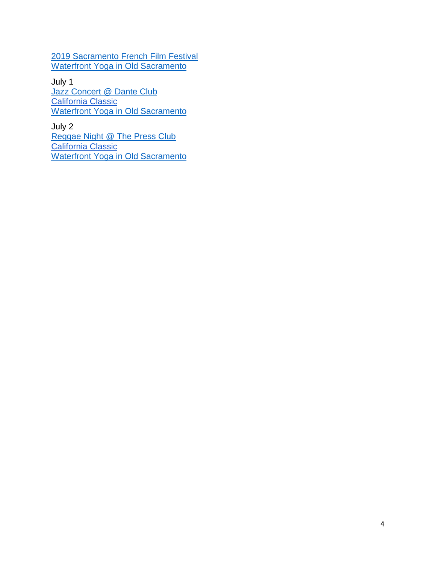[2019 Sacramento French Film Festival](https://sacramento.downtowngrid.com/events/2019-sacramento-french-film-festival-2019-06-30/) [Waterfront Yoga in Old Sacramento](https://sacramento.downtowngrid.com/events/waterfront-yoga-in-old-sacramento-2-2019-06-30/)

July 1 [Jazz Concert @ Dante Club](https://sacramento.downtowngrid.com/events/jazz-concert-dante-club-2019-07-01/) [California Classic](https://www.golden1center.com/events/detail/california-classic-2019) [Waterfront Yoga in Old Sacramento](https://sacramento.downtowngrid.com/events/waterfront-yoga-in-old-sacramento-2-2019-06-30/)

July 2 [Reggae Night @ The Press Club](https://sacramento.downtowngrid.com/events/reggae-night-the-press-club-2019-07-02/) [California Classic](https://www.golden1center.com/events/detail/california-classic-2019) [Waterfront Yoga in Old Sacramento](https://sacramento.downtowngrid.com/events/waterfront-yoga-in-old-sacramento-2-2019-06-30/)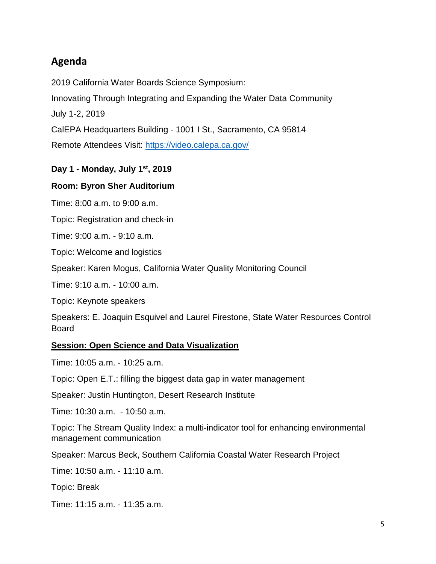## <span id="page-4-0"></span>**Agenda**

2019 California Water Boards Science Symposium:

Innovating Through Integrating and Expanding the Water Data Community

July 1-2, 2019

CalEPA Headquarters Building - 1001 I St., Sacramento, CA 95814

Remote Attendees Visit:<https://video.calepa.ca.gov/>

#### **Day 1 - Monday, July 1st, 2019**

#### **Room: Byron Sher Auditorium**

Time: 8:00 a.m. to 9:00 a.m.

Topic: Registration and check-in

Time: 9:00 a.m. - 9:10 a.m.

Topic: Welcome and logistics

Speaker: Karen Mogus, California Water Quality Monitoring Council

Time: 9:10 a.m. - 10:00 a.m.

Topic: Keynote speakers

Speakers: E. Joaquin Esquivel and Laurel Firestone, State Water Resources Control Board

#### **Session: Open Science and Data Visualization**

Time: 10:05 a.m. - 10:25 a.m.

Topic: Open E.T.: filling the biggest data gap in water management

Speaker: Justin Huntington, Desert Research Institute

Time: 10:30 a.m. - 10:50 a.m.

Topic: The Stream Quality Index: a multi-indicator tool for enhancing environmental management communication

Speaker: Marcus Beck, Southern California Coastal Water Research Project

Time: 10:50 a.m. - 11:10 a.m.

Topic: Break

Time: 11:15 a.m. - 11:35 a.m.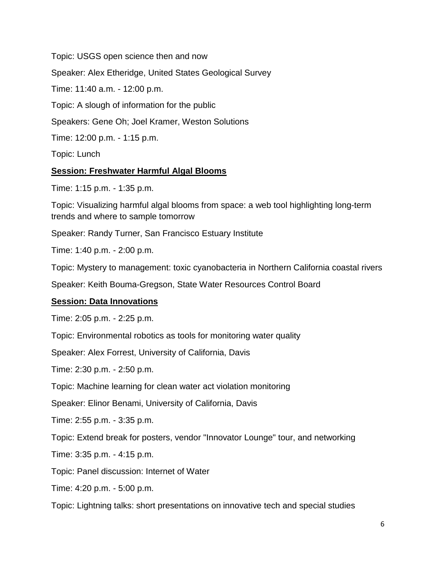Topic: USGS open science then and now Speaker: Alex Etheridge, United States Geological Survey Time: 11:40 a.m. - 12:00 p.m. Topic: A slough of information for the public Speakers: Gene Oh; Joel Kramer, Weston Solutions Time: 12:00 p.m. - 1:15 p.m. Topic: Lunch

#### **Session: Freshwater Harmful Algal Blooms**

Time: 1:15 p.m. - 1:35 p.m.

Topic: Visualizing harmful algal blooms from space: a web tool highlighting long-term trends and where to sample tomorrow

Speaker: Randy Turner, San Francisco Estuary Institute

Time: 1:40 p.m. - 2:00 p.m.

Topic: Mystery to management: toxic cyanobacteria in Northern California coastal rivers

Speaker: Keith Bouma-Gregson, State Water Resources Control Board

#### **Session: Data Innovations**

Time: 2:05 p.m. - 2:25 p.m.

Topic: Environmental robotics as tools for monitoring water quality

Speaker: Alex Forrest, University of California, Davis

Time: 2:30 p.m. - 2:50 p.m.

Topic: Machine learning for clean water act violation monitoring

Speaker: Elinor Benami, University of California, Davis

Time: 2:55 p.m. - 3:35 p.m.

Topic: Extend break for posters, vendor "Innovator Lounge" tour, and networking

Time: 3:35 p.m. - 4:15 p.m.

Topic: Panel discussion: Internet of Water

Time: 4:20 p.m. - 5:00 p.m.

Topic: Lightning talks: short presentations on innovative tech and special studies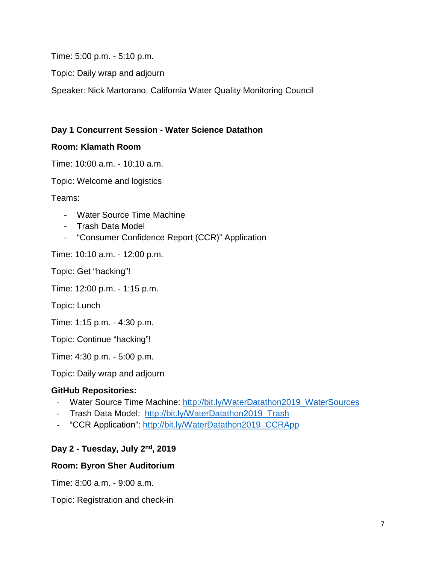Time: 5:00 p.m. - 5:10 p.m.

Topic: Daily wrap and adjourn

Speaker: Nick Martorano, California Water Quality Monitoring Council

#### **Day 1 Concurrent Session - Water Science Datathon**

#### **Room: Klamath Room**

Time: 10:00 a.m. - 10:10 a.m.

Topic: Welcome and logistics

Teams:

- Water Source Time Machine
- Trash Data Model
- "Consumer Confidence Report (CCR)" Application

Time: 10:10 a.m. - 12:00 p.m.

Topic: Get "hacking"!

Time: 12:00 p.m. - 1:15 p.m.

Topic: Lunch

Time: 1:15 p.m. - 4:30 p.m.

Topic: Continue "hacking"!

Time: 4:30 p.m. - 5:00 p.m.

Topic: Daily wrap and adjourn

#### **GitHub Repositories:**

- Water Source Time Machine: [http://bit.ly/WaterDatathon2019\\_WaterSources](http://bit.ly/WaterDatathon2019_WaterSources)
- Trash Data Model: [http://bit.ly/WaterDatathon2019\\_Trash](http://bit.ly/WaterDatathon2019_Trash)
- "CCR Application": [http://bit.ly/WaterDatathon2019\\_CCRApp](http://bit.ly/WaterDatathon2019_CCRApp)

#### **Day 2 - Tuesday, July 2nd, 2019**

#### **Room: Byron Sher Auditorium**

Time: 8:00 a.m. - 9:00 a.m.

Topic: Registration and check-in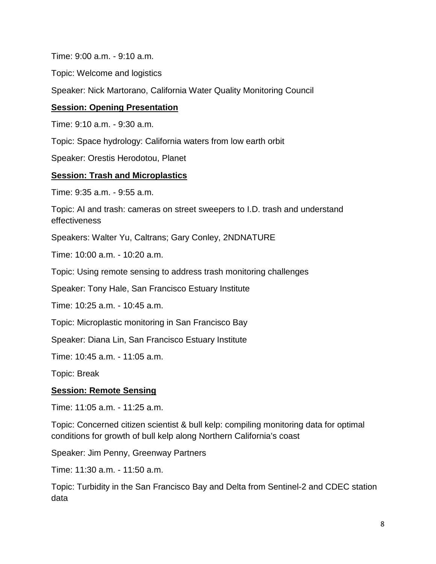Time: 9:00 a.m. - 9:10 a.m.

Topic: Welcome and logistics

Speaker: Nick Martorano, California Water Quality Monitoring Council

#### **Session: Opening Presentation**

Time: 9:10 a.m. - 9:30 a.m.

Topic: Space hydrology: California waters from low earth orbit

Speaker: Orestis Herodotou, Planet

#### **Session: Trash and Microplastics**

Time: 9:35 a.m. - 9:55 a.m.

Topic: AI and trash: cameras on street sweepers to I.D. trash and understand effectiveness

Speakers: Walter Yu, Caltrans; Gary Conley, 2NDNATURE

Time: 10:00 a.m. - 10:20 a.m.

Topic: Using remote sensing to address trash monitoring challenges

Speaker: Tony Hale, San Francisco Estuary Institute

Time: 10:25 a.m. - 10:45 a.m.

Topic: Microplastic monitoring in San Francisco Bay

Speaker: Diana Lin, San Francisco Estuary Institute

Time: 10:45 a.m. - 11:05 a.m.

Topic: Break

#### **Session: Remote Sensing**

Time: 11:05 a.m. - 11:25 a.m.

Topic: Concerned citizen scientist & bull kelp: compiling monitoring data for optimal conditions for growth of bull kelp along Northern California's coast

Speaker: Jim Penny, Greenway Partners

Time: 11:30 a.m. - 11:50 a.m.

Topic: Turbidity in the San Francisco Bay and Delta from Sentinel-2 and CDEC station data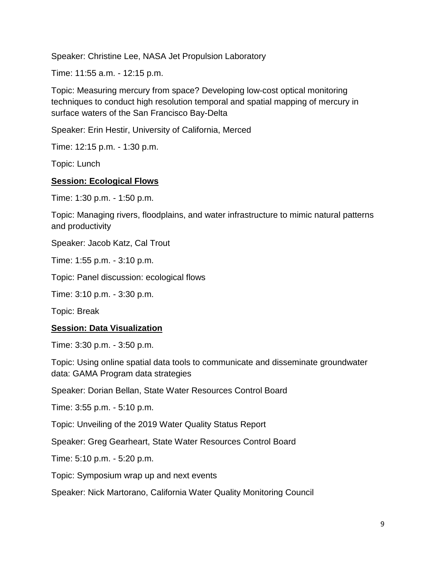Speaker: Christine Lee, NASA Jet Propulsion Laboratory

Time: 11:55 a.m. - 12:15 p.m.

Topic: Measuring mercury from space? Developing low-cost optical monitoring techniques to conduct high resolution temporal and spatial mapping of mercury in surface waters of the San Francisco Bay-Delta

Speaker: Erin Hestir, University of California, Merced

Time: 12:15 p.m. - 1:30 p.m.

Topic: Lunch

#### **Session: Ecological Flows**

Time: 1:30 p.m. - 1:50 p.m.

Topic: Managing rivers, floodplains, and water infrastructure to mimic natural patterns and productivity

Speaker: Jacob Katz, Cal Trout

Time: 1:55 p.m. - 3:10 p.m.

Topic: Panel discussion: ecological flows

Time: 3:10 p.m. - 3:30 p.m.

Topic: Break

#### **Session: Data Visualization**

Time: 3:30 p.m. - 3:50 p.m.

Topic: Using online spatial data tools to communicate and disseminate groundwater data: GAMA Program data strategies

Speaker: Dorian Bellan, State Water Resources Control Board

Time: 3:55 p.m. - 5:10 p.m.

Topic: Unveiling of the 2019 Water Quality Status Report

Speaker: Greg Gearheart, State Water Resources Control Board

Time: 5:10 p.m. - 5:20 p.m.

Topic: Symposium wrap up and next events

Speaker: Nick Martorano, California Water Quality Monitoring Council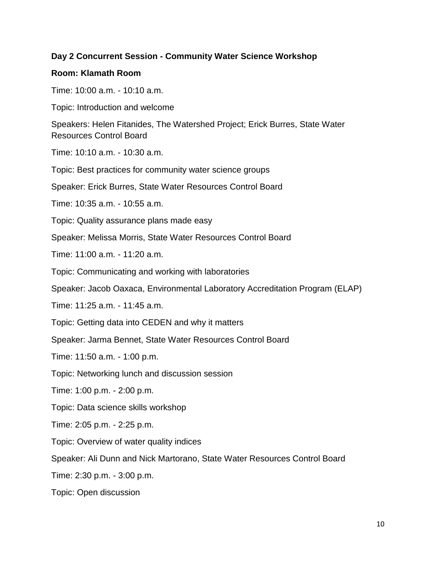#### **Day 2 Concurrent Session - Community Water Science Workshop**

#### **Room: Klamath Room**

Time: 10:00 a.m. - 10:10 a.m.

Topic: Introduction and welcome

Speakers: Helen Fitanides, The Watershed Project; Erick Burres, State Water Resources Control Board

Time: 10:10 a.m. - 10:30 a.m.

Topic: Best practices for community water science groups

Speaker: Erick Burres, State Water Resources Control Board

Time: 10:35 a.m. - 10:55 a.m.

Topic: Quality assurance plans made easy

Speaker: Melissa Morris, State Water Resources Control Board

Time: 11:00 a.m. - 11:20 a.m.

Topic: Communicating and working with laboratories

Speaker: Jacob Oaxaca, Environmental Laboratory Accreditation Program (ELAP)

Time: 11:25 a.m. - 11:45 a.m.

Topic: Getting data into CEDEN and why it matters

Speaker: Jarma Bennet, State Water Resources Control Board

Time: 11:50 a.m. - 1:00 p.m.

Topic: Networking lunch and discussion session

Time: 1:00 p.m. - 2:00 p.m.

Topic: Data science skills workshop

Time: 2:05 p.m. - 2:25 p.m.

Topic: Overview of water quality indices

Speaker: Ali Dunn and Nick Martorano, State Water Resources Control Board

Time: 2:30 p.m. - 3:00 p.m.

Topic: Open discussion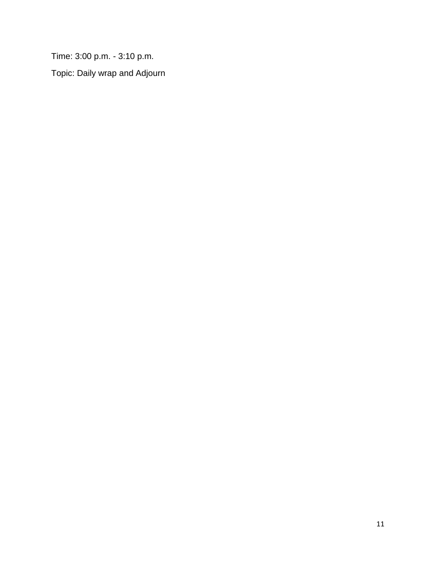Time: 3:00 p.m. - 3:10 p.m.

Topic: Daily wrap and Adjourn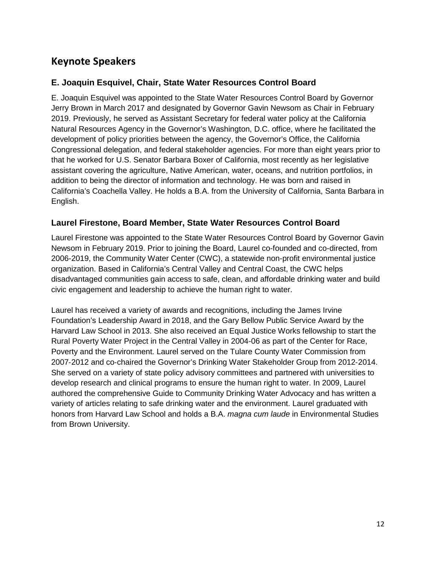## <span id="page-11-0"></span>**Keynote Speakers**

#### **E. Joaquin Esquivel, Chair, State Water Resources Control Board**

E. Joaquin Esquivel was appointed to the State Water Resources Control Board by Governor Jerry Brown in March 2017 and designated by Governor Gavin Newsom as Chair in February 2019. Previously, he served as Assistant Secretary for federal water policy at the California Natural Resources Agency in the Governor's Washington, D.C. office, where he facilitated the development of policy priorities between the agency, the Governor's Office, the California Congressional delegation, and federal stakeholder agencies. For more than eight years prior to that he worked for U.S. Senator Barbara Boxer of California, most recently as her legislative assistant covering the agriculture, Native American, water, oceans, and nutrition portfolios, in addition to being the director of information and technology. He was born and raised in California's Coachella Valley. He holds a B.A. from the University of California, Santa Barbara in English.

#### **Laurel Firestone, Board Member, State Water Resources Control Board**

Laurel Firestone was appointed to the State Water Resources Control Board by Governor Gavin Newsom in February 2019. Prior to joining the Board, Laurel co-founded and co-directed, from 2006-2019, the Community Water Center (CWC), a statewide non-profit environmental justice organization. Based in California's Central Valley and Central Coast, the CWC helps disadvantaged communities gain access to safe, clean, and affordable drinking water and build civic engagement and leadership to achieve the human right to water.

Laurel has received a variety of awards and recognitions, including the James Irvine Foundation's Leadership Award in 2018, and the Gary Bellow Public Service Award by the Harvard Law School in 2013. She also received an Equal Justice Works fellowship to start the Rural Poverty Water Project in the Central Valley in 2004-06 as part of the Center for Race, Poverty and the Environment. Laurel served on the Tulare County Water Commission from 2007‐2012 and co‐chaired the Governor's Drinking Water Stakeholder Group from 2012‐2014. She served on a variety of state policy advisory committees and partnered with universities to develop research and clinical programs to ensure the human right to water. In 2009, Laurel authored the comprehensive Guide to Community Drinking Water Advocacy and has written a variety of articles relating to safe drinking water and the environment. Laurel graduated with honors from Harvard Law School and holds a B.A. *magna cum laude* in Environmental Studies from Brown University.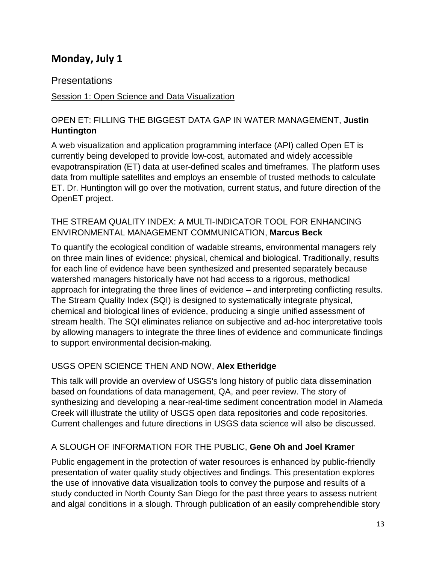## <span id="page-12-0"></span>**Monday, July 1**

## <span id="page-12-1"></span>Presentations

### Session 1: Open Science and Data Visualization

### OPEN ET: FILLING THE BIGGEST DATA GAP IN WATER MANAGEMENT, **Justin Huntington**

A web visualization and application programming interface (API) called Open ET is currently being developed to provide low-cost, automated and widely accessible evapotranspiration (ET) data at user-defined scales and timeframes. The platform uses data from multiple satellites and employs an ensemble of trusted methods to calculate ET. Dr. Huntington will go over the motivation, current status, and future direction of the OpenET project.

#### THE STREAM QUALITY INDEX: A MULTI-INDICATOR TOOL FOR ENHANCING ENVIRONMENTAL MANAGEMENT COMMUNICATION, **Marcus Beck**

To quantify the ecological condition of wadable streams, environmental managers rely on three main lines of evidence: physical, chemical and biological. Traditionally, results for each line of evidence have been synthesized and presented separately because watershed managers historically have not had access to a rigorous, methodical approach for integrating the three lines of evidence – and interpreting conflicting results. The Stream Quality Index (SQI) is designed to systematically integrate physical, chemical and biological lines of evidence, producing a single unified assessment of stream health. The SQI eliminates reliance on subjective and ad-hoc interpretative tools by allowing managers to integrate the three lines of evidence and communicate findings to support environmental decision-making.

## USGS OPEN SCIENCE THEN AND NOW, **Alex Etheridge**

This talk will provide an overview of USGS's long history of public data dissemination based on foundations of data management, QA, and peer review. The story of synthesizing and developing a near-real-time sediment concentration model in Alameda Creek will illustrate the utility of USGS open data repositories and code repositories. Current challenges and future directions in USGS data science will also be discussed.

## A SLOUGH OF INFORMATION FOR THE PUBLIC, **Gene Oh and Joel Kramer**

Public engagement in the protection of water resources is enhanced by public-friendly presentation of water quality study objectives and findings. This presentation explores the use of innovative data visualization tools to convey the purpose and results of a study conducted in North County San Diego for the past three years to assess nutrient and algal conditions in a slough. Through publication of an easily comprehendible story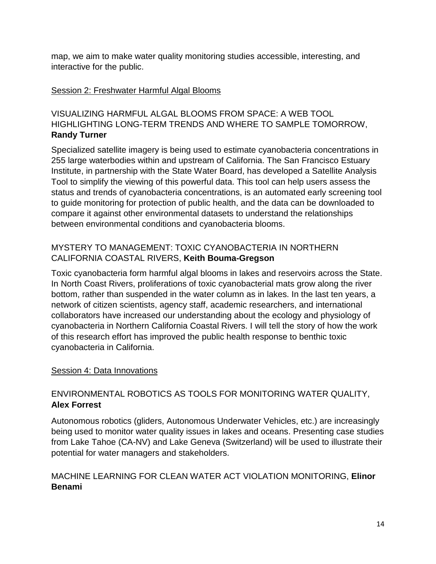map, we aim to make water quality monitoring studies accessible, interesting, and interactive for the public.

#### Session 2: Freshwater Harmful Algal Blooms

#### VISUALIZING HARMFUL ALGAL BLOOMS FROM SPACE: A WEB TOOL HIGHLIGHTING LONG-TERM TRENDS AND WHERE TO SAMPLE TOMORROW, **Randy Turner**

Specialized satellite imagery is being used to estimate cyanobacteria concentrations in 255 large waterbodies within and upstream of California. The San Francisco Estuary Institute, in partnership with the State Water Board, has developed a Satellite Analysis Tool to simplify the viewing of this powerful data. This tool can help users assess the status and trends of cyanobacteria concentrations, is an automated early screening tool to guide monitoring for protection of public health, and the data can be downloaded to compare it against other environmental datasets to understand the relationships between environmental conditions and cyanobacteria blooms.

#### MYSTERY TO MANAGEMENT: TOXIC CYANOBACTERIA IN NORTHERN CALIFORNIA COASTAL RIVERS, **Keith Bouma-Gregson**

Toxic cyanobacteria form harmful algal blooms in lakes and reservoirs across the State. In North Coast Rivers, proliferations of toxic cyanobacterial mats grow along the river bottom, rather than suspended in the water column as in lakes. In the last ten years, a network of citizen scientists, agency staff, academic researchers, and international collaborators have increased our understanding about the ecology and physiology of cyanobacteria in Northern California Coastal Rivers. I will tell the story of how the work of this research effort has improved the public health response to benthic toxic cyanobacteria in California.

#### Session 4: Data Innovations

## ENVIRONMENTAL ROBOTICS AS TOOLS FOR MONITORING WATER QUALITY, **Alex Forrest**

Autonomous robotics (gliders, Autonomous Underwater Vehicles, etc.) are increasingly being used to monitor water quality issues in lakes and oceans. Presenting case studies from Lake Tahoe (CA-NV) and Lake Geneva (Switzerland) will be used to illustrate their potential for water managers and stakeholders.

#### MACHINE LEARNING FOR CLEAN WATER ACT VIOLATION MONITORING, **Elinor Benami**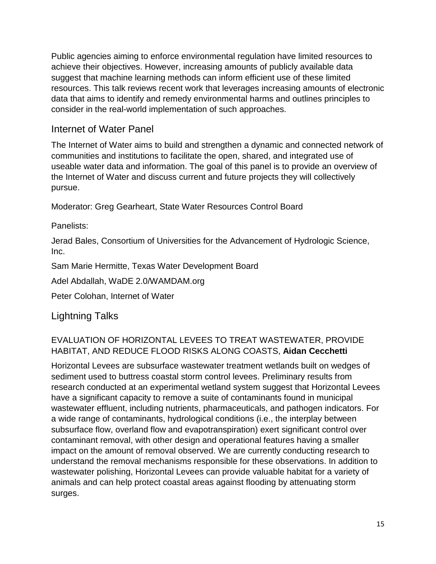Public agencies aiming to enforce environmental regulation have limited resources to achieve their objectives. However, increasing amounts of publicly available data suggest that machine learning methods can inform efficient use of these limited resources. This talk reviews recent work that leverages increasing amounts of electronic data that aims to identify and remedy environmental harms and outlines principles to consider in the real-world implementation of such approaches.

## <span id="page-14-0"></span>Internet of Water Panel

The Internet of Water aims to build and strengthen a dynamic and connected network of communities and institutions to facilitate the open, shared, and integrated use of useable water data and information. The goal of this panel is to provide an overview of the Internet of Water and discuss current and future projects they will collectively pursue.

Moderator: Greg Gearheart, State Water Resources Control Board

Panelists:

Jerad Bales, Consortium of Universities for the Advancement of Hydrologic Science, Inc.

Sam Marie Hermitte, Texas Water Development Board

Adel Abdallah, WaDE 2.0/WAMDAM.org

Peter Colohan, Internet of Water

## <span id="page-14-1"></span>Lightning Talks

## EVALUATION OF HORIZONTAL LEVEES TO TREAT WASTEWATER, PROVIDE HABITAT, AND REDUCE FLOOD RISKS ALONG COASTS, **Aidan Cecchetti**

Horizontal Levees are subsurface wastewater treatment wetlands built on wedges of sediment used to buttress coastal storm control levees. Preliminary results from research conducted at an experimental wetland system suggest that Horizontal Levees have a significant capacity to remove a suite of contaminants found in municipal wastewater effluent, including nutrients, pharmaceuticals, and pathogen indicators. For a wide range of contaminants, hydrological conditions (i.e., the interplay between subsurface flow, overland flow and evapotranspiration) exert significant control over contaminant removal, with other design and operational features having a smaller impact on the amount of removal observed. We are currently conducting research to understand the removal mechanisms responsible for these observations. In addition to wastewater polishing, Horizontal Levees can provide valuable habitat for a variety of animals and can help protect coastal areas against flooding by attenuating storm surges.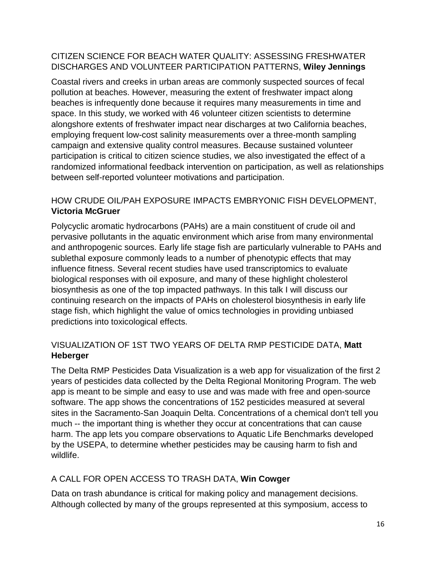#### CITIZEN SCIENCE FOR BEACH WATER QUALITY: ASSESSING FRESHWATER DISCHARGES AND VOLUNTEER PARTICIPATION PATTERNS, **Wiley Jennings**

Coastal rivers and creeks in urban areas are commonly suspected sources of fecal pollution at beaches. However, measuring the extent of freshwater impact along beaches is infrequently done because it requires many measurements in time and space. In this study, we worked with 46 volunteer citizen scientists to determine alongshore extents of freshwater impact near discharges at two California beaches, employing frequent low-cost salinity measurements over a three-month sampling campaign and extensive quality control measures. Because sustained volunteer participation is critical to citizen science studies, we also investigated the effect of a randomized informational feedback intervention on participation, as well as relationships between self-reported volunteer motivations and participation.

## HOW CRUDE OIL/PAH EXPOSURE IMPACTS EMBRYONIC FISH DEVELOPMENT, **Victoria McGruer**

Polycyclic aromatic hydrocarbons (PAHs) are a main constituent of crude oil and pervasive pollutants in the aquatic environment which arise from many environmental and anthropogenic sources. Early life stage fish are particularly vulnerable to PAHs and sublethal exposure commonly leads to a number of phenotypic effects that may influence fitness. Several recent studies have used transcriptomics to evaluate biological responses with oil exposure, and many of these highlight cholesterol biosynthesis as one of the top impacted pathways. In this talk I will discuss our continuing research on the impacts of PAHs on cholesterol biosynthesis in early life stage fish, which highlight the value of omics technologies in providing unbiased predictions into toxicological effects.

## VISUALIZATION OF 1ST TWO YEARS OF DELTA RMP PESTICIDE DATA, **Matt Heberger**

The Delta RMP Pesticides Data Visualization is a web app for visualization of the first 2 years of pesticides data collected by the Delta Regional Monitoring Program. The web app is meant to be simple and easy to use and was made with free and open-source software. The app shows the concentrations of 152 pesticides measured at several sites in the Sacramento-San Joaquin Delta. Concentrations of a chemical don't tell you much -- the important thing is whether they occur at concentrations that can cause harm. The app lets you compare observations to Aquatic Life Benchmarks developed by the USEPA, to determine whether pesticides may be causing harm to fish and wildlife.

## A CALL FOR OPEN ACCESS TO TRASH DATA, **Win Cowger**

Data on trash abundance is critical for making policy and management decisions. Although collected by many of the groups represented at this symposium, access to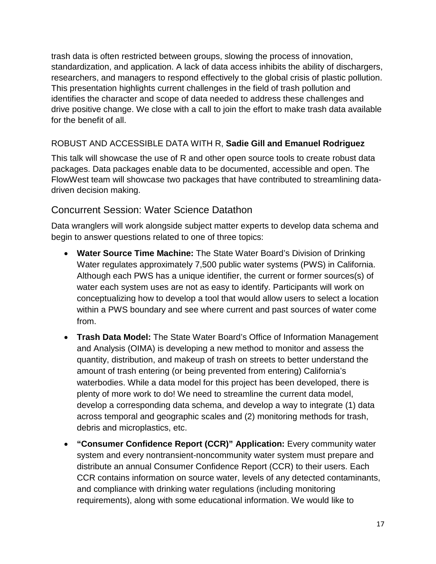trash data is often restricted between groups, slowing the process of innovation, standardization, and application. A lack of data access inhibits the ability of dischargers, researchers, and managers to respond effectively to the global crisis of plastic pollution. This presentation highlights current challenges in the field of trash pollution and identifies the character and scope of data needed to address these challenges and drive positive change. We close with a call to join the effort to make trash data available for the benefit of all.

#### ROBUST AND ACCESSIBLE DATA WITH R, **Sadie Gill and Emanuel Rodriguez**

This talk will showcase the use of R and other open source tools to create robust data packages. Data packages enable data to be documented, accessible and open. The FlowWest team will showcase two packages that have contributed to streamlining datadriven decision making.

## <span id="page-16-0"></span>Concurrent Session: Water Science Datathon

Data wranglers will work alongside subject matter experts to develop data schema and begin to answer questions related to one of three topics:

- **Water Source Time Machine:** The State Water Board's Division of Drinking Water regulates approximately 7,500 public water systems (PWS) in California. Although each PWS has a unique identifier, the current or former sources(s) of water each system uses are not as easy to identify. Participants will work on conceptualizing how to develop a tool that would allow users to select a location within a PWS boundary and see where current and past sources of water come from.
- **Trash Data Model:** The State Water Board's Office of Information Management and Analysis (OIMA) is developing a new method to monitor and assess the quantity, distribution, and makeup of trash on streets to better understand the amount of trash entering (or being prevented from entering) California's waterbodies. While a data model for this project has been developed, there is plenty of more work to do! We need to streamline the current data model, develop a corresponding data schema, and develop a way to integrate (1) data across temporal and geographic scales and (2) monitoring methods for trash, debris and microplastics, etc.
- **"Consumer Confidence Report (CCR)" Application:** Every community water system and every nontransient-noncommunity water system must prepare and distribute an annual Consumer Confidence Report (CCR) to their users. Each CCR contains information on source water, levels of any detected contaminants, and compliance with drinking water regulations (including monitoring requirements), along with some educational information. We would like to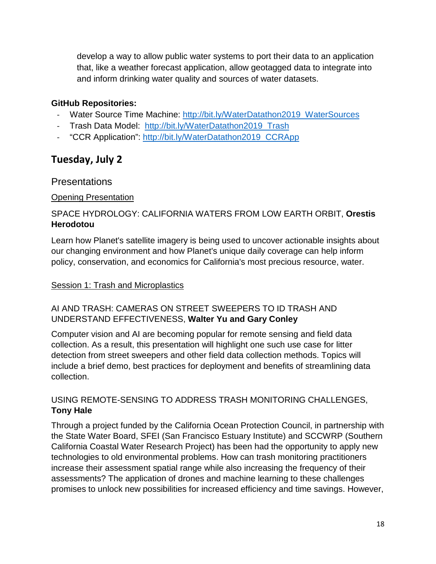develop a way to allow public water systems to port their data to an application that, like a weather forecast application, allow geotagged data to integrate into and inform drinking water quality and sources of water datasets.

## **GitHub Repositories:**

- Water Source Time Machine: [http://bit.ly/WaterDatathon2019\\_WaterSources](http://bit.ly/WaterDatathon2019_WaterSources)
- Trash Data Model: http://bit.ly/WaterDatathon2019 Trash
- "CCR Application": [http://bit.ly/WaterDatathon2019\\_CCRApp](http://bit.ly/WaterDatathon2019_CCRApp)

## <span id="page-17-0"></span>**Tuesday, July 2**

## <span id="page-17-1"></span>**Presentations**

#### Opening Presentation

#### SPACE HYDROLOGY: CALIFORNIA WATERS FROM LOW EARTH ORBIT, **Orestis Herodotou**

Learn how Planet's satellite imagery is being used to uncover actionable insights about our changing environment and how Planet's unique daily coverage can help inform policy, conservation, and economics for California's most precious resource, water.

#### **Session 1: Trash and Microplastics**

## AI AND TRASH: CAMERAS ON STREET SWEEPERS TO ID TRASH AND UNDERSTAND EFFECTIVENESS, **Walter Yu and Gary Conley**

Computer vision and AI are becoming popular for remote sensing and field data collection. As a result, this presentation will highlight one such use case for litter detection from street sweepers and other field data collection methods. Topics will include a brief demo, best practices for deployment and benefits of streamlining data collection.

#### USING REMOTE-SENSING TO ADDRESS TRASH MONITORING CHALLENGES, **Tony Hale**

Through a project funded by the California Ocean Protection Council, in partnership with the State Water Board, SFEI (San Francisco Estuary Institute) and SCCWRP (Southern California Coastal Water Research Project) has been had the opportunity to apply new technologies to old environmental problems. How can trash monitoring practitioners increase their assessment spatial range while also increasing the frequency of their assessments? The application of drones and machine learning to these challenges promises to unlock new possibilities for increased efficiency and time savings. However,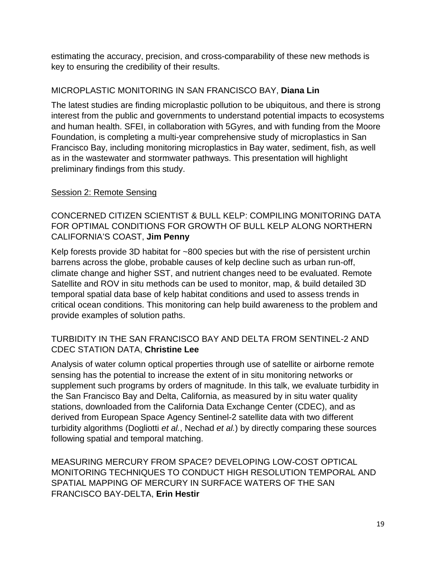estimating the accuracy, precision, and cross-comparability of these new methods is key to ensuring the credibility of their results.

#### MICROPLASTIC MONITORING IN SAN FRANCISCO BAY, **Diana Lin**

The latest studies are finding microplastic pollution to be ubiquitous, and there is strong interest from the public and governments to understand potential impacts to ecosystems and human health. SFEI, in collaboration with 5Gyres, and with funding from the Moore Foundation, is completing a multi-year comprehensive study of microplastics in San Francisco Bay, including monitoring microplastics in Bay water, sediment, fish, as well as in the wastewater and stormwater pathways. This presentation will highlight preliminary findings from this study.

#### Session 2: Remote Sensing

#### CONCERNED CITIZEN SCIENTIST & BULL KELP: COMPILING MONITORING DATA FOR OPTIMAL CONDITIONS FOR GROWTH OF BULL KELP ALONG NORTHERN CALIFORNIA'S COAST, **Jim Penny**

Kelp forests provide 3D habitat for ~800 species but with the rise of persistent urchin barrens across the globe, probable causes of kelp decline such as urban run-off, climate change and higher SST, and nutrient changes need to be evaluated. Remote Satellite and ROV in situ methods can be used to monitor, map, & build detailed 3D temporal spatial data base of kelp habitat conditions and used to assess trends in critical ocean conditions. This monitoring can help build awareness to the problem and provide examples of solution paths.

#### TURBIDITY IN THE SAN FRANCISCO BAY AND DELTA FROM SENTINEL-2 AND CDEC STATION DATA, **Christine Lee**

Analysis of water column optical properties through use of satellite or airborne remote sensing has the potential to increase the extent of in situ monitoring networks or supplement such programs by orders of magnitude. In this talk, we evaluate turbidity in the San Francisco Bay and Delta, California, as measured by in situ water quality stations, downloaded from the California Data Exchange Center (CDEC), and as derived from European Space Agency Sentinel-2 satellite data with two different turbidity algorithms (Dogliotti *et al.*, Nechad *et al.*) by directly comparing these sources following spatial and temporal matching.

MEASURING MERCURY FROM SPACE? DEVELOPING LOW-COST OPTICAL MONITORING TECHNIQUES TO CONDUCT HIGH RESOLUTION TEMPORAL AND SPATIAL MAPPING OF MERCURY IN SURFACE WATERS OF THE SAN FRANCISCO BAY-DELTA, **Erin Hestir**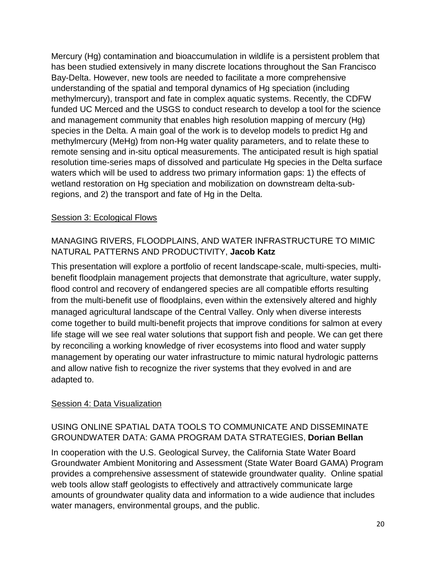Mercury (Hg) contamination and bioaccumulation in wildlife is a persistent problem that has been studied extensively in many discrete locations throughout the San Francisco Bay-Delta. However, new tools are needed to facilitate a more comprehensive understanding of the spatial and temporal dynamics of Hg speciation (including methylmercury), transport and fate in complex aquatic systems. Recently, the CDFW funded UC Merced and the USGS to conduct research to develop a tool for the science and management community that enables high resolution mapping of mercury (Hg) species in the Delta. A main goal of the work is to develop models to predict Hg and methylmercury (MeHg) from non-Hg water quality parameters, and to relate these to remote sensing and in-situ optical measurements. The anticipated result is high spatial resolution time-series maps of dissolved and particulate Hg species in the Delta surface waters which will be used to address two primary information gaps: 1) the effects of wetland restoration on Hg speciation and mobilization on downstream delta-subregions, and 2) the transport and fate of Hg in the Delta.

#### Session 3: Ecological Flows

## MANAGING RIVERS, FLOODPLAINS, AND WATER INFRASTRUCTURE TO MIMIC NATURAL PATTERNS AND PRODUCTIVITY, **Jacob Katz**

This presentation will explore a portfolio of recent landscape-scale, multi-species, multibenefit floodplain management projects that demonstrate that agriculture, water supply, flood control and recovery of endangered species are all compatible efforts resulting from the multi-benefit use of floodplains, even within the extensively altered and highly managed agricultural landscape of the Central Valley. Only when diverse interests come together to build multi-benefit projects that improve conditions for salmon at every life stage will we see real water solutions that support fish and people. We can get there by reconciling a working knowledge of river ecosystems into flood and water supply management by operating our water infrastructure to mimic natural hydrologic patterns and allow native fish to recognize the river systems that they evolved in and are adapted to.

#### Session 4: Data Visualization

#### USING ONLINE SPATIAL DATA TOOLS TO COMMUNICATE AND DISSEMINATE GROUNDWATER DATA: GAMA PROGRAM DATA STRATEGIES, **Dorian Bellan**

In cooperation with the U.S. Geological Survey, the California State Water Board Groundwater Ambient Monitoring and Assessment (State Water Board GAMA) Program provides a comprehensive assessment of statewide groundwater quality. Online spatial web tools allow staff geologists to effectively and attractively communicate large amounts of groundwater quality data and information to a wide audience that includes water managers, environmental groups, and the public.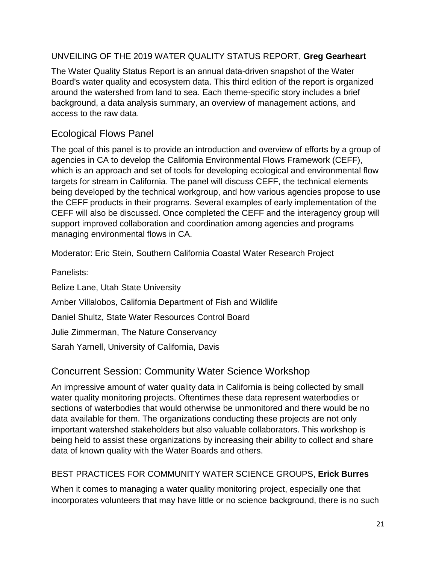#### UNVEILING OF THE 2019 WATER QUALITY STATUS REPORT, **Greg Gearheart**

The Water Quality Status Report is an annual data-driven snapshot of the Water Board's water quality and ecosystem data. This third edition of the report is organized around the watershed from land to sea. Each theme-specific story includes a brief background, a data analysis summary, an overview of management actions, and access to the raw data.

## <span id="page-20-0"></span>Ecological Flows Panel

The goal of this panel is to provide an introduction and overview of efforts by a group of agencies in CA to develop the California Environmental Flows Framework (CEFF), which is an approach and set of tools for developing ecological and environmental flow targets for stream in California. The panel will discuss CEFF, the technical elements being developed by the technical workgroup, and how various agencies propose to use the CEFF products in their programs. Several examples of early implementation of the CEFF will also be discussed. Once completed the CEFF and the interagency group will support improved collaboration and coordination among agencies and programs managing environmental flows in CA.

Moderator: Eric Stein, Southern California Coastal Water Research Project

Panelists: Belize Lane, Utah State University Amber Villalobos, California Department of Fish and Wildlife Daniel Shultz, State Water Resources Control Board Julie Zimmerman, The Nature Conservancy Sarah Yarnell, University of California, Davis

## <span id="page-20-1"></span>Concurrent Session: Community Water Science Workshop

An impressive amount of water quality data in California is being collected by small water quality monitoring projects. Oftentimes these data represent waterbodies or sections of waterbodies that would otherwise be unmonitored and there would be no data available for them. The organizations conducting these projects are not only important watershed stakeholders but also valuable collaborators. This workshop is being held to assist these organizations by increasing their ability to collect and share data of known quality with the Water Boards and others.

## BEST PRACTICES FOR COMMUNITY WATER SCIENCE GROUPS, **Erick Burres**

When it comes to managing a water quality monitoring project, especially one that incorporates volunteers that may have little or no science background, there is no such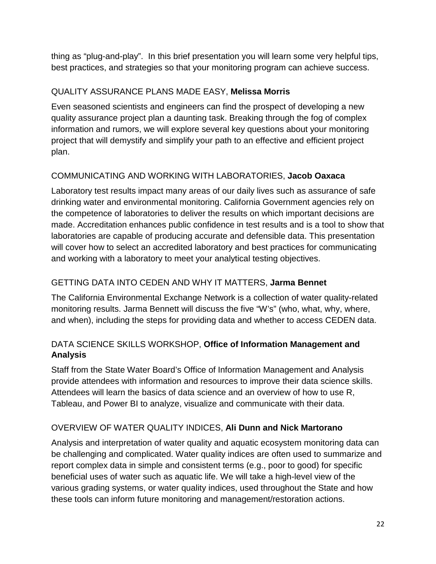thing as "plug-and-play". In this brief presentation you will learn some very helpful tips, best practices, and strategies so that your monitoring program can achieve success.

## QUALITY ASSURANCE PLANS MADE EASY, **Melissa Morris**

Even seasoned scientists and engineers can find the prospect of developing a new quality assurance project plan a daunting task. Breaking through the fog of complex information and rumors, we will explore several key questions about your monitoring project that will demystify and simplify your path to an effective and efficient project plan.

## COMMUNICATING AND WORKING WITH LABORATORIES, **Jacob Oaxaca**

Laboratory test results impact many areas of our daily lives such as assurance of safe drinking water and environmental monitoring. California Government agencies rely on the competence of laboratories to deliver the results on which important decisions are made. Accreditation enhances public confidence in test results and is a tool to show that laboratories are capable of producing accurate and defensible data. This presentation will cover how to select an accredited laboratory and best practices for communicating and working with a laboratory to meet your analytical testing objectives.

## GETTING DATA INTO CEDEN AND WHY IT MATTERS, **Jarma Bennet**

The California Environmental Exchange Network is a collection of water quality-related monitoring results. Jarma Bennett will discuss the five "W's" (who, what, why, where, and when), including the steps for providing data and whether to access CEDEN data.

## DATA SCIENCE SKILLS WORKSHOP, **Office of Information Management and Analysis**

Staff from the State Water Board's Office of Information Management and Analysis provide attendees with information and resources to improve their data science skills. Attendees will learn the basics of data science and an overview of how to use R, Tableau, and Power BI to analyze, visualize and communicate with their data.

## OVERVIEW OF WATER QUALITY INDICES, **Ali Dunn and Nick Martorano**

Analysis and interpretation of water quality and aquatic ecosystem monitoring data can be challenging and complicated. Water quality indices are often used to summarize and report complex data in simple and consistent terms (e.g., poor to good) for specific beneficial uses of water such as aquatic life. We will take a high-level view of the various grading systems, or water quality indices, used throughout the State and how these tools can inform future monitoring and management/restoration actions.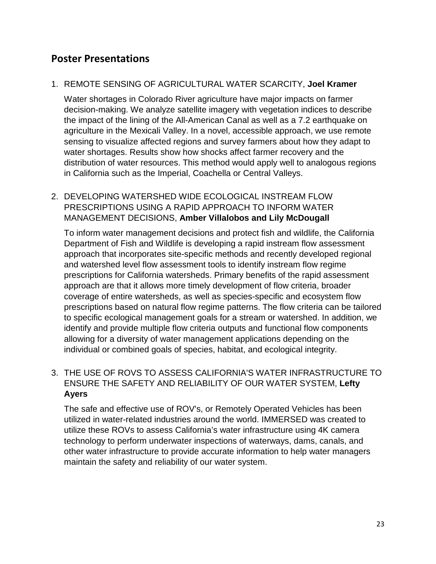## <span id="page-22-0"></span>**Poster Presentations**

#### 1. REMOTE SENSING OF AGRICULTURAL WATER SCARCITY, **Joel Kramer**

Water shortages in Colorado River agriculture have major impacts on farmer decision-making. We analyze satellite imagery with vegetation indices to describe the impact of the lining of the All-American Canal as well as a 7.2 earthquake on agriculture in the Mexicali Valley. In a novel, accessible approach, we use remote sensing to visualize affected regions and survey farmers about how they adapt to water shortages. Results show how shocks affect farmer recovery and the distribution of water resources. This method would apply well to analogous regions in California such as the Imperial, Coachella or Central Valleys.

#### 2. DEVELOPING WATERSHED WIDE ECOLOGICAL INSTREAM FLOW PRESCRIPTIONS USING A RAPID APPROACH TO INFORM WATER MANAGEMENT DECISIONS, **Amber Villalobos and Lily McDougall**

To inform water management decisions and protect fish and wildlife, the California Department of Fish and Wildlife is developing a rapid instream flow assessment approach that incorporates site-specific methods and recently developed regional and watershed level flow assessment tools to identify instream flow regime prescriptions for California watersheds. Primary benefits of the rapid assessment approach are that it allows more timely development of flow criteria, broader coverage of entire watersheds, as well as species-specific and ecosystem flow prescriptions based on natural flow regime patterns. The flow criteria can be tailored to specific ecological management goals for a stream or watershed. In addition, we identify and provide multiple flow criteria outputs and functional flow components allowing for a diversity of water management applications depending on the individual or combined goals of species, habitat, and ecological integrity.

#### 3. THE USE OF ROVS TO ASSESS CALIFORNIA'S WATER INFRASTRUCTURE TO ENSURE THE SAFETY AND RELIABILITY OF OUR WATER SYSTEM, **Lefty Ayers**

The safe and effective use of ROV's, or Remotely Operated Vehicles has been utilized in water-related industries around the world. IMMERSED was created to utilize these ROVs to assess California's water infrastructure using 4K camera technology to perform underwater inspections of waterways, dams, canals, and other water infrastructure to provide accurate information to help water managers maintain the safety and reliability of our water system.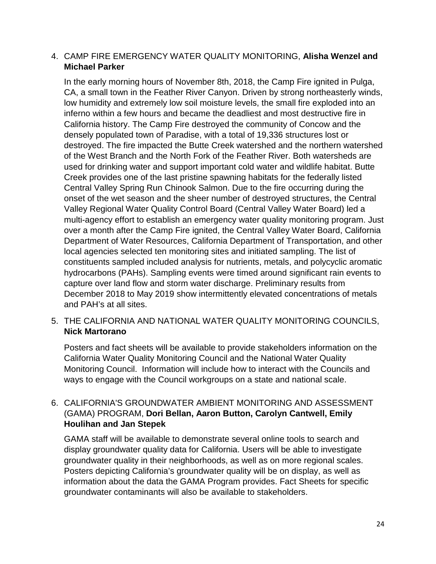#### 4. CAMP FIRE EMERGENCY WATER QUALITY MONITORING, **Alisha Wenzel and Michael Parker**

In the early morning hours of November 8th, 2018, the Camp Fire ignited in Pulga, CA, a small town in the Feather River Canyon. Driven by strong northeasterly winds, low humidity and extremely low soil moisture levels, the small fire exploded into an inferno within a few hours and became the deadliest and most destructive fire in California history. The Camp Fire destroyed the community of Concow and the densely populated town of Paradise, with a total of 19,336 structures lost or destroyed. The fire impacted the Butte Creek watershed and the northern watershed of the West Branch and the North Fork of the Feather River. Both watersheds are used for drinking water and support important cold water and wildlife habitat. Butte Creek provides one of the last pristine spawning habitats for the federally listed Central Valley Spring Run Chinook Salmon. Due to the fire occurring during the onset of the wet season and the sheer number of destroyed structures, the Central Valley Regional Water Quality Control Board (Central Valley Water Board) led a multi-agency effort to establish an emergency water quality monitoring program. Just over a month after the Camp Fire ignited, the Central Valley Water Board, California Department of Water Resources, California Department of Transportation, and other local agencies selected ten monitoring sites and initiated sampling. The list of constituents sampled included analysis for nutrients, metals, and polycyclic aromatic hydrocarbons (PAHs). Sampling events were timed around significant rain events to capture over land flow and storm water discharge. Preliminary results from December 2018 to May 2019 show intermittently elevated concentrations of metals and PAH's at all sites.

#### 5. THE CALIFORNIA AND NATIONAL WATER QUALITY MONITORING COUNCILS, **Nick Martorano**

Posters and fact sheets will be available to provide stakeholders information on the California Water Quality Monitoring Council and the National Water Quality Monitoring Council. Information will include how to interact with the Councils and ways to engage with the Council workgroups on a state and national scale.

#### 6. CALIFORNIA'S GROUNDWATER AMBIENT MONITORING AND ASSESSMENT (GAMA) PROGRAM, **Dori Bellan, Aaron Button, Carolyn Cantwell, Emily Houlihan and Jan Stepek**

GAMA staff will be available to demonstrate several online tools to search and display groundwater quality data for California. Users will be able to investigate groundwater quality in their neighborhoods, as well as on more regional scales. Posters depicting California's groundwater quality will be on display, as well as information about the data the GAMA Program provides. Fact Sheets for specific groundwater contaminants will also be available to stakeholders.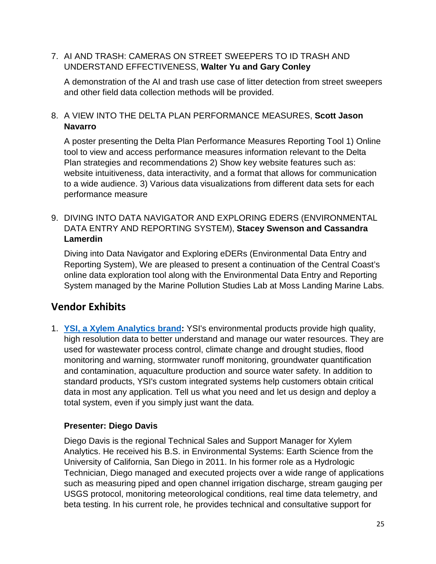#### 7. AI AND TRASH: CAMERAS ON STREET SWEEPERS TO ID TRASH AND UNDERSTAND EFFECTIVENESS, **Walter Yu and Gary Conley**

A demonstration of the AI and trash use case of litter detection from street sweepers and other field data collection methods will be provided.

#### 8. A VIEW INTO THE DELTA PLAN PERFORMANCE MEASURES, **Scott Jason Navarro**

A poster presenting the Delta Plan Performance Measures Reporting Tool 1) Online tool to view and access performance measures information relevant to the Delta Plan strategies and recommendations 2) Show key website features such as: website intuitiveness, data interactivity, and a format that allows for communication to a wide audience. 3) Various data visualizations from different data sets for each performance measure

#### 9. DIVING INTO DATA NAVIGATOR AND EXPLORING EDERS (ENVIRONMENTAL DATA ENTRY AND REPORTING SYSTEM), **Stacey Swenson and Cassandra Lamerdin**

Diving into Data Navigator and Exploring eDERs (Environmental Data Entry and Reporting System), We are pleased to present a continuation of the Central Coast's online data exploration tool along with the Environmental Data Entry and Reporting System managed by the Marine Pollution Studies Lab at Moss Landing Marine Labs.

## <span id="page-24-0"></span>**Vendor Exhibits**

1. **[YSI, a Xylem Analytics brand:](https://www.xylem.com/en-us)** YSI's environmental products provide high quality, high resolution data to better understand and manage our water resources. They are used for wastewater process control, climate change and drought studies, flood monitoring and warning, stormwater runoff monitoring, groundwater quantification and contamination, aquaculture production and source water safety. In addition to standard products, YSI's custom integrated systems help customers obtain critical data in most any application. Tell us what you need and let us design and deploy a total system, even if you simply just want the data.

## **Presenter: Diego Davis**

Diego Davis is the regional Technical Sales and Support Manager for Xylem Analytics. He received his B.S. in Environmental Systems: Earth Science from the University of California, San Diego in 2011. In his former role as a Hydrologic Technician, Diego managed and executed projects over a wide range of applications such as measuring piped and open channel irrigation discharge, stream gauging per USGS protocol, monitoring meteorological conditions, real time data telemetry, and beta testing. In his current role, he provides technical and consultative support for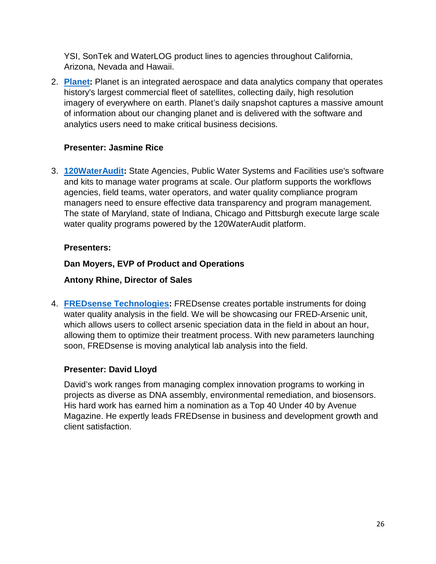YSI, SonTek and WaterLOG product lines to agencies throughout California, Arizona, Nevada and Hawaii.

2. **[Planet:](https://www.planet.com/)** Planet is an integrated aerospace and data analytics company that operates history's largest commercial fleet of satellites, collecting daily, high resolution imagery of everywhere on earth. Planet's daily snapshot captures a massive amount of information about our changing planet and is delivered with the software and analytics users need to make critical business decisions.

#### **Presenter: Jasmine Rice**

3. **[120WaterAudit:](https://120wateraudit.com/)** State Agencies, Public Water Systems and Facilities use's software and kits to manage water programs at scale. Our platform supports the workflows agencies, field teams, water operators, and water quality compliance program managers need to ensure effective data transparency and program management. The state of Maryland, state of Indiana, Chicago and Pittsburgh execute large scale water quality programs powered by the 120WaterAudit platform.

#### **Presenters:**

## **Dan Moyers, EVP of Product and Operations**

### **Antony Rhine, Director of Sales**

4. **[FREDsense Technologies:](https://www.fredsense.com/)** FREDsense creates portable instruments for doing water quality analysis in the field. We will be showcasing our FRED-Arsenic unit, which allows users to collect arsenic speciation data in the field in about an hour, allowing them to optimize their treatment process. With new parameters launching soon, FREDsense is moving analytical lab analysis into the field.

#### **Presenter: David Lloyd**

<span id="page-25-0"></span>David's work ranges from managing complex innovation programs to working in projects as diverse as DNA assembly, environmental remediation, and biosensors. His hard work has earned him a nomination as a Top 40 Under 40 by Avenue Magazine. He expertly leads FREDsense in business and development growth and client satisfaction.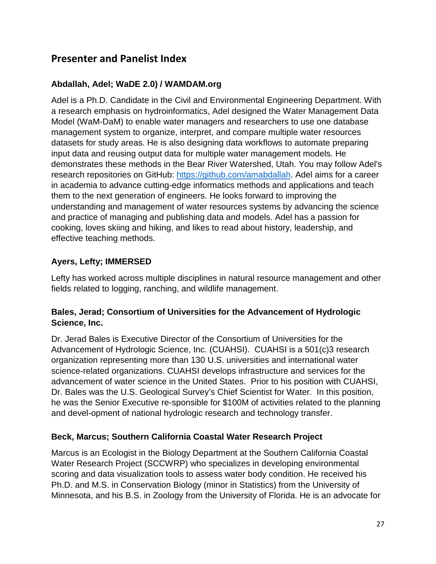## **Presenter and Panelist Index**

## **Abdallah, Adel; WaDE 2.0) / WAMDAM.org**

Adel is a Ph.D. Candidate in the Civil and Environmental Engineering Department. With a research emphasis on hydroinformatics, Adel designed the Water Management Data Model (WaM-DaM) to enable water managers and researchers to use one database management system to organize, interpret, and compare multiple water resources datasets for study areas. He is also designing data workflows to automate preparing input data and reusing output data for multiple water management models. He demonstrates these methods in the Bear River Watershed, Utah. You may follow Adel's research repositories on GitHub: [https://github.com/amabdallah.](https://github.com/amabdallah) Adel aims for a career in academia to advance cutting-edge informatics methods and applications and teach them to the next generation of engineers. He looks forward to improving the understanding and management of water resources systems by advancing the science and practice of managing and publishing data and models. Adel has a passion for cooking, loves skiing and hiking, and likes to read about history, leadership, and effective teaching methods.

## **Ayers, Lefty; IMMERSED**

Lefty has worked across multiple disciplines in natural resource management and other fields related to logging, ranching, and wildlife management.

#### **Bales, Jerad; Consortium of Universities for the Advancement of Hydrologic Science, Inc.**

Dr. Jerad Bales is Executive Director of the Consortium of Universities for the Advancement of Hydrologic Science, Inc. (CUAHSI). CUAHSI is a 501(c)3 research organization representing more than 130 U.S. universities and international water science-related organizations. CUAHSI develops infrastructure and services for the advancement of water science in the United States. Prior to his position with CUAHSI, Dr. Bales was the U.S. Geological Survey's Chief Scientist for Water. In this position, he was the Senior Executive re-sponsible for \$100M of activities related to the planning and devel-opment of national hydrologic research and technology transfer.

## **Beck, Marcus; Southern California Coastal Water Research Project**

Marcus is an Ecologist in the Biology Department at the Southern California Coastal Water Research Project (SCCWRP) who specializes in developing environmental scoring and data visualization tools to assess water body condition. He received his Ph.D. and M.S. in Conservation Biology (minor in Statistics) from the University of Minnesota, and his B.S. in Zoology from the University of Florida. He is an advocate for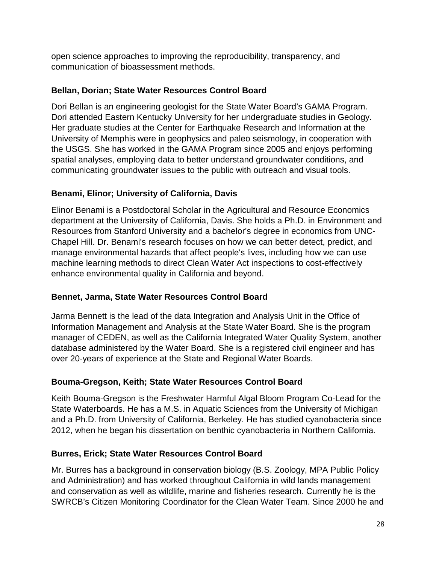open science approaches to improving the reproducibility, transparency, and communication of bioassessment methods.

### **Bellan, Dorian; State Water Resources Control Board**

Dori Bellan is an engineering geologist for the State Water Board's GAMA Program. Dori attended Eastern Kentucky University for her undergraduate studies in Geology. Her graduate studies at the Center for Earthquake Research and Information at the University of Memphis were in geophysics and paleo seismology, in cooperation with the USGS. She has worked in the GAMA Program since 2005 and enjoys performing spatial analyses, employing data to better understand groundwater conditions, and communicating groundwater issues to the public with outreach and visual tools.

## **Benami, Elinor; University of California, Davis**

Elinor Benami is a Postdoctoral Scholar in the Agricultural and Resource Economics department at the University of California, Davis. She holds a Ph.D. in Environment and Resources from Stanford University and a bachelor's degree in economics from UNC-Chapel Hill. Dr. Benami's research focuses on how we can better detect, predict, and manage environmental hazards that affect people's lives, including how we can use machine learning methods to direct Clean Water Act inspections to cost-effectively enhance environmental quality in California and beyond.

## **Bennet, Jarma, State Water Resources Control Board**

Jarma Bennett is the lead of the data Integration and Analysis Unit in the Office of Information Management and Analysis at the State Water Board. She is the program manager of CEDEN, as well as the California Integrated Water Quality System, another database administered by the Water Board. She is a registered civil engineer and has over 20-years of experience at the State and Regional Water Boards.

## **Bouma-Gregson, Keith; State Water Resources Control Board**

Keith Bouma-Gregson is the Freshwater Harmful Algal Bloom Program Co-Lead for the State Waterboards. He has a M.S. in Aquatic Sciences from the University of Michigan and a Ph.D. from University of California, Berkeley. He has studied cyanobacteria since 2012, when he began his dissertation on benthic cyanobacteria in Northern California.

#### **Burres, Erick; State Water Resources Control Board**

Mr. Burres has a background in conservation biology (B.S. Zoology, MPA Public Policy and Administration) and has worked throughout California in wild lands management and conservation as well as wildlife, marine and fisheries research. Currently he is the SWRCB's Citizen Monitoring Coordinator for the Clean Water Team. Since 2000 he and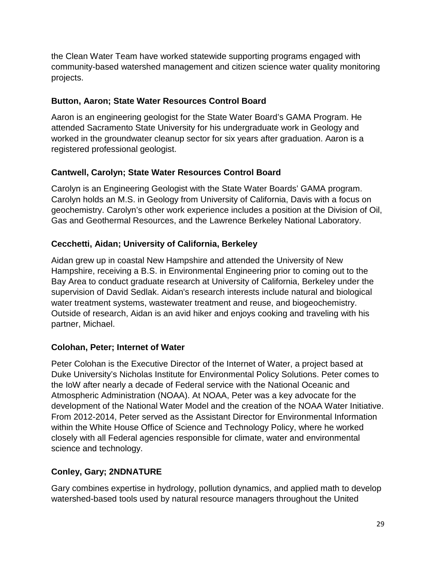the Clean Water Team have worked statewide supporting programs engaged with community-based watershed management and citizen science water quality monitoring projects.

#### **Button, Aaron; State Water Resources Control Board**

Aaron is an engineering geologist for the State Water Board's GAMA Program. He attended Sacramento State University for his undergraduate work in Geology and worked in the groundwater cleanup sector for six years after graduation. Aaron is a registered professional geologist.

## **Cantwell, Carolyn; State Water Resources Control Board**

Carolyn is an Engineering Geologist with the State Water Boards' GAMA program. Carolyn holds an M.S. in Geology from University of California, Davis with a focus on geochemistry. Carolyn's other work experience includes a position at the Division of Oil, Gas and Geothermal Resources, and the Lawrence Berkeley National Laboratory.

## **Cecchetti, Aidan; University of California, Berkeley**

Aidan grew up in coastal New Hampshire and attended the University of New Hampshire, receiving a B.S. in Environmental Engineering prior to coming out to the Bay Area to conduct graduate research at University of California, Berkeley under the supervision of David Sedlak. Aidan's research interests include natural and biological water treatment systems, wastewater treatment and reuse, and biogeochemistry. Outside of research, Aidan is an avid hiker and enjoys cooking and traveling with his partner, Michael.

## **Colohan, Peter; Internet of Water**

Peter Colohan is the Executive Director of the Internet of Water, a project based at Duke University's Nicholas Institute for Environmental Policy Solutions. Peter comes to the IoW after nearly a decade of Federal service with the National Oceanic and Atmospheric Administration (NOAA). At NOAA, Peter was a key advocate for the development of the National Water Model and the creation of the NOAA Water Initiative. From 2012-2014, Peter served as the Assistant Director for Environmental Information within the White House Office of Science and Technology Policy, where he worked closely with all Federal agencies responsible for climate, water and environmental science and technology.

## **Conley, Gary; 2NDNATURE**

Gary combines expertise in hydrology, pollution dynamics, and applied math to develop watershed-based tools used by natural resource managers throughout the United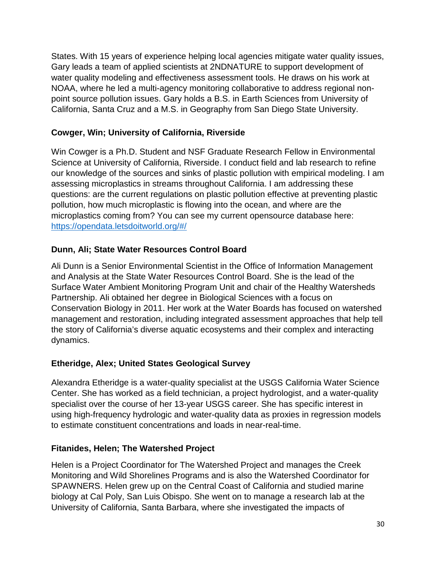States. With 15 years of experience helping local agencies mitigate water quality issues, Gary leads a team of applied scientists at 2NDNATURE to support development of water quality modeling and effectiveness assessment tools. He draws on his work at NOAA, where he led a multi-agency monitoring collaborative to address regional nonpoint source pollution issues. Gary holds a B.S. in Earth Sciences from University of California, Santa Cruz and a M.S. in Geography from San Diego State University.

#### **Cowger, Win; University of California, Riverside**

Win Cowger is a Ph.D. Student and NSF Graduate Research Fellow in Environmental Science at University of California, Riverside. I conduct field and lab research to refine our knowledge of the sources and sinks of plastic pollution with empirical modeling. I am assessing microplastics in streams throughout California. I am addressing these questions: are the current regulations on plastic pollution effective at preventing plastic pollution, how much microplastic is flowing into the ocean, and where are the microplastics coming from? You can see my current opensource database here: <https://opendata.letsdoitworld.org/#/>

## **Dunn, Ali; State Water Resources Control Board**

Ali Dunn is a Senior Environmental Scientist in the Office of Information Management and Analysis at the State Water Resources Control Board. She is the lead of the Surface Water Ambient Monitoring Program Unit and chair of the Healthy Watersheds Partnership. Ali obtained her degree in Biological Sciences with a focus on Conservation Biology in 2011. Her work at the Water Boards has focused on watershed management and restoration, including integrated assessment approaches that help tell the story of California's diverse aquatic ecosystems and their complex and interacting dynamics.

## **Etheridge, Alex; United States Geological Survey**

Alexandra Etheridge is a water-quality specialist at the USGS California Water Science Center. She has worked as a field technician, a project hydrologist, and a water-quality specialist over the course of her 13-year USGS career. She has specific interest in using high-frequency hydrologic and water-quality data as proxies in regression models to estimate constituent concentrations and loads in near-real-time.

#### **Fitanides, Helen; The Watershed Project**

Helen is a Project Coordinator for The Watershed Project and manages the Creek Monitoring and Wild Shorelines Programs and is also the Watershed Coordinator for SPAWNERS. Helen grew up on the Central Coast of California and studied marine biology at Cal Poly, San Luis Obispo. She went on to manage a research lab at the University of California, Santa Barbara, where she investigated the impacts of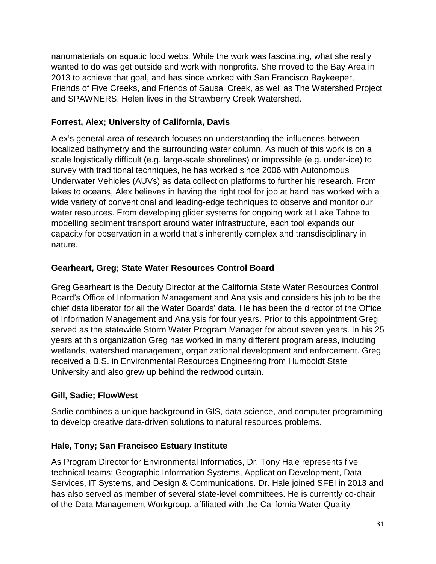nanomaterials on aquatic food webs. While the work was fascinating, what she really wanted to do was get outside and work with nonprofits. She moved to the Bay Area in 2013 to achieve that goal, and has since worked with San Francisco Baykeeper, Friends of Five Creeks, and Friends of Sausal Creek, as well as The Watershed Project and SPAWNERS. Helen lives in the Strawberry Creek Watershed.

## **Forrest, Alex; University of California, Davis**

Alex's general area of research focuses on understanding the influences between localized bathymetry and the surrounding water column. As much of this work is on a scale logistically difficult (e.g. large-scale shorelines) or impossible (e.g. under-ice) to survey with traditional techniques, he has worked since 2006 with Autonomous Underwater Vehicles (AUVs) as data collection platforms to further his research. From lakes to oceans, Alex believes in having the right tool for job at hand has worked with a wide variety of conventional and leading-edge techniques to observe and monitor our water resources. From developing glider systems for ongoing work at Lake Tahoe to modelling sediment transport around water infrastructure, each tool expands our capacity for observation in a world that's inherently complex and transdisciplinary in nature.

## **Gearheart, Greg; State Water Resources Control Board**

Greg Gearheart is the Deputy Director at the California State Water Resources Control Board's Office of Information Management and Analysis and considers his job to be the chief data liberator for all the Water Boards' data. He has been the director of the Office of Information Management and Analysis for four years. Prior to this appointment Greg served as the statewide Storm Water Program Manager for about seven years. In his 25 years at this organization Greg has worked in many different program areas, including wetlands, watershed management, organizational development and enforcement. Greg received a B.S. in Environmental Resources Engineering from Humboldt State University and also grew up behind the redwood curtain.

## **Gill, Sadie; FlowWest**

Sadie combines a unique background in GIS, data science, and computer programming to develop creative data-driven solutions to natural resources problems.

## **Hale, Tony; San Francisco Estuary Institute**

As Program Director for Environmental Informatics, Dr. Tony Hale represents five technical teams: Geographic Information Systems, Application Development, Data Services, IT Systems, and Design & Communications. Dr. Hale joined SFEI in 2013 and has also served as member of several state-level committees. He is currently co-chair of the Data Management Workgroup, affiliated with the California Water Quality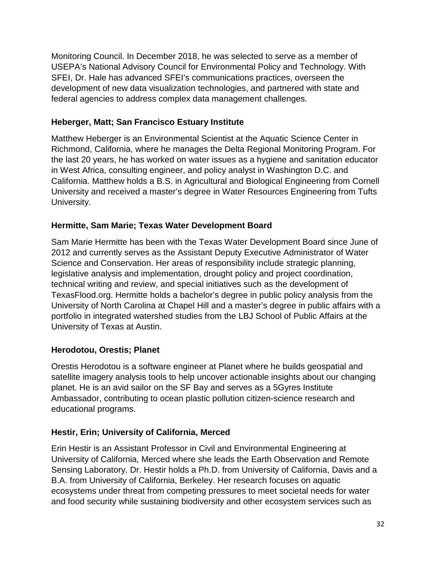Monitoring Council. In December 2018, he was selected to serve as a member of USEPA's National Advisory Council for Environmental Policy and Technology. With SFEI, Dr. Hale has advanced SFEI's communications practices, overseen the development of new data visualization technologies, and partnered with state and federal agencies to address complex data management challenges.

#### **Heberger, Matt; San Francisco Estuary Institute**

Matthew Heberger is an Environmental Scientist at the Aquatic Science Center in Richmond, California, where he manages the Delta Regional Monitoring Program. For the last 20 years, he has worked on water issues as a hygiene and sanitation educator in West Africa, consulting engineer, and policy analyst in Washington D.C. and California. Matthew holds a B.S. in Agricultural and Biological Engineering from Cornell University and received a master's degree in Water Resources Engineering from Tufts University.

#### **Hermitte, Sam Marie; Texas Water Development Board**

Sam Marie Hermitte has been with the Texas Water Development Board since June of 2012 and currently serves as the Assistant Deputy Executive Administrator of Water Science and Conservation. Her areas of responsibility include strategic planning, legislative analysis and implementation, drought policy and project coordination, technical writing and review, and special initiatives such as the development of TexasFlood.org. Hermitte holds a bachelor's degree in public policy analysis from the University of North Carolina at Chapel Hill and a master's degree in public affairs with a portfolio in integrated watershed studies from the LBJ School of Public Affairs at the University of Texas at Austin.

#### **Herodotou, Orestis; Planet**

Orestis Herodotou is a software engineer at Planet where he builds geospatial and satellite imagery analysis tools to help uncover actionable insights about our changing planet. He is an avid sailor on the SF Bay and serves as a 5Gyres Institute Ambassador, contributing to ocean plastic pollution citizen-science research and educational programs.

## **Hestir, Erin; University of California, Merced**

Erin Hestir is an Assistant Professor in Civil and Environmental Engineering at University of California, Merced where she leads the Earth Observation and Remote Sensing Laboratory. Dr. Hestir holds a Ph.D. from University of California, Davis and a B.A. from University of California, Berkeley. Her research focuses on aquatic ecosystems under threat from competing pressures to meet societal needs for water and food security while sustaining biodiversity and other ecosystem services such as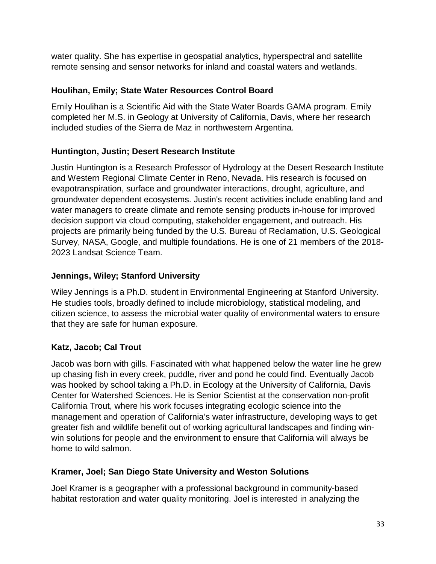water quality. She has expertise in geospatial analytics, hyperspectral and satellite remote sensing and sensor networks for inland and coastal waters and wetlands.

#### **Houlihan, Emily; State Water Resources Control Board**

Emily Houlihan is a Scientific Aid with the State Water Boards GAMA program. Emily completed her M.S. in Geology at University of California, Davis, where her research included studies of the Sierra de Maz in northwestern Argentina.

#### **Huntington, Justin; Desert Research Institute**

Justin Huntington is a Research Professor of Hydrology at the Desert Research Institute and Western Regional Climate Center in Reno, Nevada. His research is focused on evapotranspiration, surface and groundwater interactions, drought, agriculture, and groundwater dependent ecosystems. Justin's recent activities include enabling land and water managers to create climate and remote sensing products in-house for improved decision support via cloud computing, stakeholder engagement, and outreach. His projects are primarily being funded by the U.S. Bureau of Reclamation, U.S. Geological Survey, NASA, Google, and multiple foundations. He is one of 21 members of the 2018- 2023 Landsat Science Team.

#### **Jennings, Wiley; Stanford University**

Wiley Jennings is a Ph.D. student in Environmental Engineering at Stanford University. He studies tools, broadly defined to include microbiology, statistical modeling, and citizen science, to assess the microbial water quality of environmental waters to ensure that they are safe for human exposure.

## **Katz, Jacob; Cal Trout**

Jacob was born with gills. Fascinated with what happened below the water line he grew up chasing fish in every creek, puddle, river and pond he could find. Eventually Jacob was hooked by school taking a Ph.D. in Ecology at the University of California, Davis Center for Watershed Sciences. He is Senior Scientist at the conservation non-profit California Trout, where his work focuses integrating ecologic science into the management and operation of California's water infrastructure, developing ways to get greater fish and wildlife benefit out of working agricultural landscapes and finding winwin solutions for people and the environment to ensure that California will always be home to wild salmon.

#### **Kramer, Joel; San Diego State University and Weston Solutions**

Joel Kramer is a geographer with a professional background in community-based habitat restoration and water quality monitoring. Joel is interested in analyzing the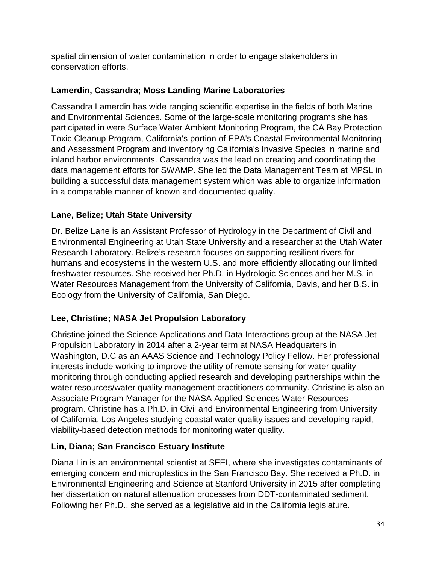spatial dimension of water contamination in order to engage stakeholders in conservation efforts.

## **Lamerdin, Cassandra; Moss Landing Marine Laboratories**

Cassandra Lamerdin has wide ranging scientific expertise in the fields of both Marine and Environmental Sciences. Some of the large-scale monitoring programs she has participated in were Surface Water Ambient Monitoring Program, the CA Bay Protection Toxic Cleanup Program, California's portion of EPA's Coastal Environmental Monitoring and Assessment Program and inventorying California's Invasive Species in marine and inland harbor environments. Cassandra was the lead on creating and coordinating the data management efforts for SWAMP. She led the Data Management Team at MPSL in building a successful data management system which was able to organize information in a comparable manner of known and documented quality.

## **Lane, Belize; Utah State University**

Dr. Belize Lane is an Assistant Professor of Hydrology in the Department of Civil and Environmental Engineering at Utah State University and a researcher at the Utah Water Research Laboratory. Belize's research focuses on supporting resilient rivers for humans and ecosystems in the western U.S. and more efficiently allocating our limited freshwater resources. She received her Ph.D. in Hydrologic Sciences and her M.S. in Water Resources Management from the University of California, Davis, and her B.S. in Ecology from the University of California, San Diego.

## **Lee, Christine; NASA Jet Propulsion Laboratory**

Christine joined the Science Applications and Data Interactions group at the NASA Jet Propulsion Laboratory in 2014 after a 2-year term at NASA Headquarters in Washington, D.C as an AAAS Science and Technology Policy Fellow. Her professional interests include working to improve the utility of remote sensing for water quality monitoring through conducting applied research and developing partnerships within the water resources/water quality management practitioners community. Christine is also an Associate Program Manager for the NASA Applied Sciences Water Resources program. Christine has a Ph.D. in Civil and Environmental Engineering from University of California, Los Angeles studying coastal water quality issues and developing rapid, viability-based detection methods for monitoring water quality.

## **Lin, Diana; San Francisco Estuary Institute**

Diana Lin is an environmental scientist at SFEI, where she investigates contaminants of emerging concern and microplastics in the San Francisco Bay. She received a Ph.D. in Environmental Engineering and Science at Stanford University in 2015 after completing her dissertation on natural attenuation processes from DDT-contaminated sediment. Following her Ph.D., she served as a legislative aid in the California legislature.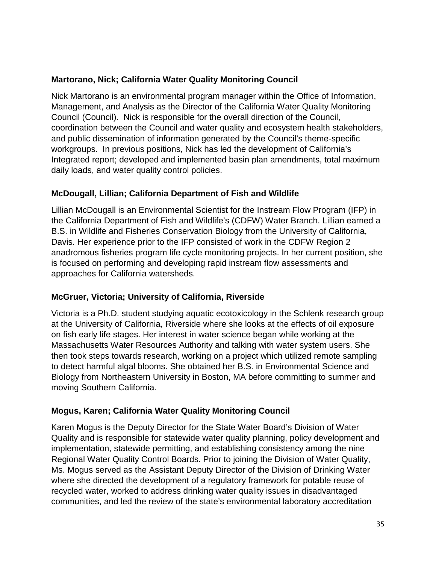#### **Martorano, Nick; California Water Quality Monitoring Council**

Nick Martorano is an environmental program manager within the Office of Information, Management, and Analysis as the Director of the California Water Quality Monitoring Council (Council). Nick is responsible for the overall direction of the Council, coordination between the Council and water quality and ecosystem health stakeholders, and public dissemination of information generated by the Council's theme-specific workgroups. In previous positions, Nick has led the development of California's Integrated report; developed and implemented basin plan amendments, total maximum daily loads, and water quality control policies.

## **McDougall, Lillian; California Department of Fish and Wildlife**

Lillian McDougall is an Environmental Scientist for the Instream Flow Program (IFP) in the California Department of Fish and Wildlife's (CDFW) Water Branch. Lillian earned a B.S. in Wildlife and Fisheries Conservation Biology from the University of California, Davis. Her experience prior to the IFP consisted of work in the CDFW Region 2 anadromous fisheries program life cycle monitoring projects. In her current position, she is focused on performing and developing rapid instream flow assessments and approaches for California watersheds.

## **McGruer, Victoria; University of California, Riverside**

Victoria is a Ph.D. student studying aquatic ecotoxicology in the Schlenk research group at the University of California, Riverside where she looks at the effects of oil exposure on fish early life stages. Her interest in water science began while working at the Massachusetts Water Resources Authority and talking with water system users. She then took steps towards research, working on a project which utilized remote sampling to detect harmful algal blooms. She obtained her B.S. in Environmental Science and Biology from Northeastern University in Boston, MA before committing to summer and moving Southern California.

## **Mogus, Karen; California Water Quality Monitoring Council**

Karen Mogus is the Deputy Director for the State Water Board's Division of Water Quality and is responsible for statewide water quality planning, policy development and implementation, statewide permitting, and establishing consistency among the nine Regional Water Quality Control Boards. Prior to joining the Division of Water Quality, Ms. Mogus served as the Assistant Deputy Director of the Division of Drinking Water where she directed the development of a regulatory framework for potable reuse of recycled water, worked to address drinking water quality issues in disadvantaged communities, and led the review of the state's environmental laboratory accreditation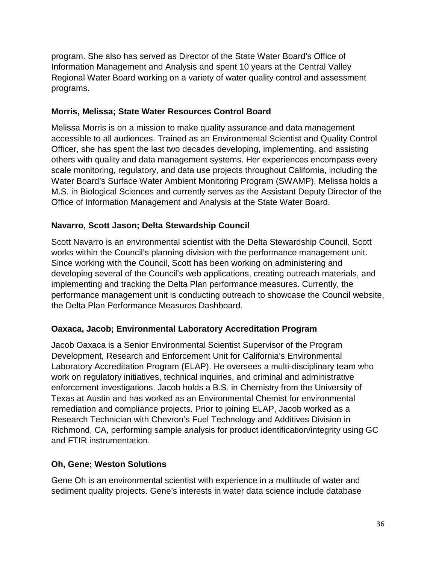program. She also has served as Director of the State Water Board's Office of Information Management and Analysis and spent 10 years at the Central Valley Regional Water Board working on a variety of water quality control and assessment programs.

#### **Morris, Melissa; State Water Resources Control Board**

Melissa Morris is on a mission to make quality assurance and data management accessible to all audiences. Trained as an Environmental Scientist and Quality Control Officer, she has spent the last two decades developing, implementing, and assisting others with quality and data management systems. Her experiences encompass every scale monitoring, regulatory, and data use projects throughout California, including the Water Board's Surface Water Ambient Monitoring Program (SWAMP). Melissa holds a M.S. in Biological Sciences and currently serves as the Assistant Deputy Director of the Office of Information Management and Analysis at the State Water Board.

#### **Navarro, Scott Jason; Delta Stewardship Council**

Scott Navarro is an environmental scientist with the Delta Stewardship Council. Scott works within the Council's planning division with the performance management unit. Since working with the Council, Scott has been working on administering and developing several of the Council's web applications, creating outreach materials, and implementing and tracking the Delta Plan performance measures. Currently, the performance management unit is conducting outreach to showcase the Council website, the Delta Plan Performance Measures Dashboard.

#### **Oaxaca, Jacob; Environmental Laboratory Accreditation Program**

Jacob Oaxaca is a Senior Environmental Scientist Supervisor of the Program Development, Research and Enforcement Unit for California's Environmental Laboratory Accreditation Program (ELAP). He oversees a multi-disciplinary team who work on regulatory initiatives, technical inquiries, and criminal and administrative enforcement investigations. Jacob holds a B.S. in Chemistry from the University of Texas at Austin and has worked as an Environmental Chemist for environmental remediation and compliance projects. Prior to joining ELAP, Jacob worked as a Research Technician with Chevron's Fuel Technology and Additives Division in Richmond, CA, performing sample analysis for product identification/integrity using GC and FTIR instrumentation.

#### **Oh, Gene; Weston Solutions**

Gene Oh is an environmental scientist with experience in a multitude of water and sediment quality projects. Gene's interests in water data science include database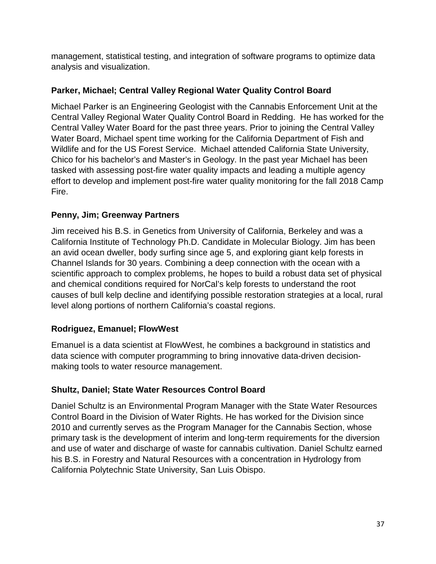management, statistical testing, and integration of software programs to optimize data analysis and visualization.

## **Parker, Michael; Central Valley Regional Water Quality Control Board**

Michael Parker is an Engineering Geologist with the Cannabis Enforcement Unit at the Central Valley Regional Water Quality Control Board in Redding. He has worked for the Central Valley Water Board for the past three years. Prior to joining the Central Valley Water Board, Michael spent time working for the California Department of Fish and Wildlife and for the US Forest Service. Michael attended California State University, Chico for his bachelor's and Master's in Geology. In the past year Michael has been tasked with assessing post-fire water quality impacts and leading a multiple agency effort to develop and implement post-fire water quality monitoring for the fall 2018 Camp Fire.

## **Penny, Jim; Greenway Partners**

Jim received his B.S. in Genetics from University of California, Berkeley and was a California Institute of Technology Ph.D. Candidate in Molecular Biology. Jim has been an avid ocean dweller, body surfing since age 5, and exploring giant kelp forests in Channel Islands for 30 years. Combining a deep connection with the ocean with a scientific approach to complex problems, he hopes to build a robust data set of physical and chemical conditions required for NorCal's kelp forests to understand the root causes of bull kelp decline and identifying possible restoration strategies at a local, rural level along portions of northern California's coastal regions.

## **Rodriguez, Emanuel; FlowWest**

Emanuel is a data scientist at FlowWest, he combines a background in statistics and data science with computer programming to bring innovative data-driven decisionmaking tools to water resource management.

## **Shultz, Daniel; State Water Resources Control Board**

Daniel Schultz is an Environmental Program Manager with the State Water Resources Control Board in the Division of Water Rights. He has worked for the Division since 2010 and currently serves as the Program Manager for the Cannabis Section, whose primary task is the development of interim and long-term requirements for the diversion and use of water and discharge of waste for cannabis cultivation. Daniel Schultz earned his B.S. in Forestry and Natural Resources with a concentration in Hydrology from California Polytechnic State University, San Luis Obispo.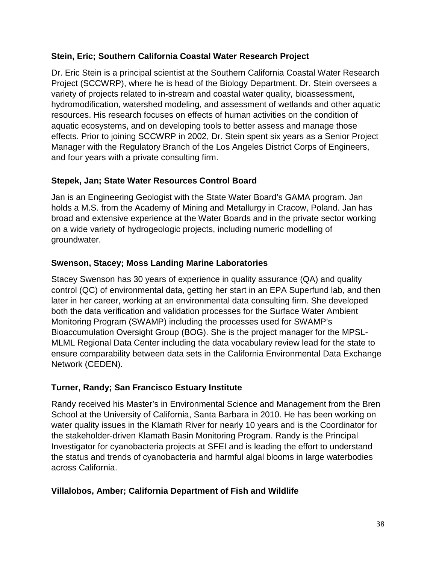#### **Stein, Eric; Southern California Coastal Water Research Project**

Dr. Eric Stein is a principal scientist at the Southern California Coastal Water Research Project (SCCWRP), where he is head of the Biology Department. Dr. Stein oversees a variety of projects related to in-stream and coastal water quality, bioassessment, hydromodification, watershed modeling, and assessment of wetlands and other aquatic resources. His research focuses on effects of human activities on the condition of aquatic ecosystems, and on developing tools to better assess and manage those effects. Prior to joining SCCWRP in 2002, Dr. Stein spent six years as a Senior Project Manager with the Regulatory Branch of the Los Angeles District Corps of Engineers, and four years with a private consulting firm.

#### **Stepek, Jan; State Water Resources Control Board**

Jan is an Engineering Geologist with the State Water Board's GAMA program. Jan holds a M.S. from the Academy of Mining and Metallurgy in Cracow, Poland. Jan has broad and extensive experience at the Water Boards and in the private sector working on a wide variety of hydrogeologic projects, including numeric modelling of groundwater.

#### **Swenson, Stacey; Moss Landing Marine Laboratories**

Stacey Swenson has 30 years of experience in quality assurance (QA) and quality control (QC) of environmental data, getting her start in an EPA Superfund lab, and then later in her career, working at an environmental data consulting firm. She developed both the data verification and validation processes for the Surface Water Ambient Monitoring Program (SWAMP) including the processes used for SWAMP's Bioaccumulation Oversight Group (BOG). She is the project manager for the MPSL-MLML Regional Data Center including the data vocabulary review lead for the state to ensure comparability between data sets in the California Environmental Data Exchange Network (CEDEN).

## **Turner, Randy; San Francisco Estuary Institute**

Randy received his Master's in Environmental Science and Management from the Bren School at the University of California, Santa Barbara in 2010. He has been working on water quality issues in the Klamath River for nearly 10 years and is the Coordinator for the stakeholder-driven Klamath Basin Monitoring Program. Randy is the Principal Investigator for cyanobacteria projects at SFEI and is leading the effort to understand the status and trends of cyanobacteria and harmful algal blooms in large waterbodies across California.

#### **Villalobos, Amber; California Department of Fish and Wildlife**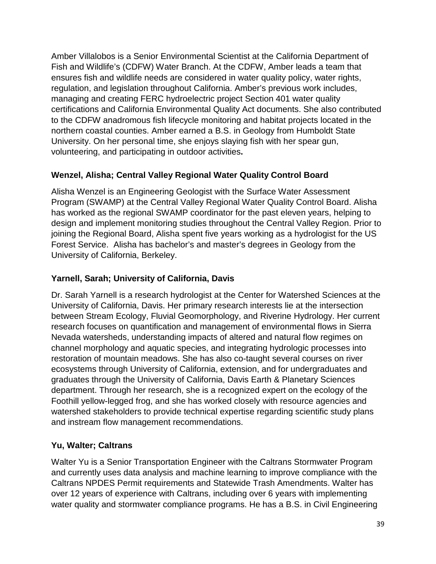Amber Villalobos is a Senior Environmental Scientist at the California Department of Fish and Wildlife's (CDFW) Water Branch. At the CDFW, Amber leads a team that ensures fish and wildlife needs are considered in water quality policy, water rights, regulation, and legislation throughout California. Amber's previous work includes, managing and creating FERC hydroelectric project Section 401 water quality certifications and California Environmental Quality Act documents. She also contributed to the CDFW anadromous fish lifecycle monitoring and habitat projects located in the northern coastal counties. Amber earned a B.S. in Geology from Humboldt State University. On her personal time, she enjoys slaying fish with her spear gun, volunteering, and participating in outdoor activities**.**

#### **Wenzel, Alisha; Central Valley Regional Water Quality Control Board**

Alisha Wenzel is an Engineering Geologist with the Surface Water Assessment Program (SWAMP) at the Central Valley Regional Water Quality Control Board. Alisha has worked as the regional SWAMP coordinator for the past eleven years, helping to design and implement monitoring studies throughout the Central Valley Region. Prior to joining the Regional Board, Alisha spent five years working as a hydrologist for the US Forest Service. Alisha has bachelor's and master's degrees in Geology from the University of California, Berkeley.

### **Yarnell, Sarah; University of California, Davis**

Dr. Sarah Yarnell is a research hydrologist at the Center for Watershed Sciences at the University of California, Davis. Her primary research interests lie at the intersection between Stream Ecology, Fluvial Geomorphology, and Riverine Hydrology. Her current research focuses on quantification and management of environmental flows in Sierra Nevada watersheds, understanding impacts of altered and natural flow regimes on channel morphology and aquatic species, and integrating hydrologic processes into restoration of mountain meadows. She has also co-taught several courses on river ecosystems through University of California, extension, and for undergraduates and graduates through the University of California, Davis Earth & Planetary Sciences department. Through her research, she is a recognized expert on the ecology of the Foothill yellow-legged frog, and she has worked closely with resource agencies and watershed stakeholders to provide technical expertise regarding scientific study plans and instream flow management recommendations.

## **Yu, Walter; Caltrans**

Walter Yu is a Senior Transportation Engineer with the Caltrans Stormwater Program and currently uses data analysis and machine learning to improve compliance with the Caltrans NPDES Permit requirements and Statewide Trash Amendments. Walter has over 12 years of experience with Caltrans, including over 6 years with implementing water quality and stormwater compliance programs. He has a B.S. in Civil Engineering